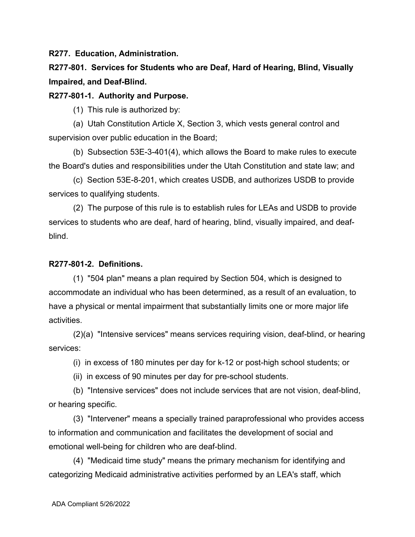**R277. Education, Administration.**

**R277-801. Services for Students who are Deaf, Hard of Hearing, Blind, Visually Impaired, and Deaf-Blind.**

**R277-801-1. Authority and Purpose.**

(1) This rule is authorized by:

(a) Utah Constitution Article X, Section 3, which vests general control and supervision over public education in the Board;

(b) Subsection 53E-3-401(4), which allows the Board to make rules to execute the Board's duties and responsibilities under the Utah Constitution and state law; and

(c) Section 53E-8-201, which creates USDB, and authorizes USDB to provide services to qualifying students.

(2) The purpose of this rule is to establish rules for LEAs and USDB to provide services to students who are deaf, hard of hearing, blind, visually impaired, and deafblind.

## **R277-801-2. Definitions.**

(1) "504 plan" means a plan required by Section 504, which is designed to accommodate an individual who has been determined, as a result of an evaluation, to have a physical or mental impairment that substantially limits one or more major life activities.

(2)(a) "Intensive services" means services requiring vision, deaf-blind, or hearing services:

(i) in excess of 180 minutes per day for k-12 or post-high school students; or

(ii) in excess of 90 minutes per day for pre-school students.

(b) "Intensive services" does not include services that are not vision, deaf-blind, or hearing specific.

(3) "Intervener" means a specially trained paraprofessional who provides access to information and communication and facilitates the development of social and emotional well-being for children who are deaf-blind.

(4) "Medicaid time study" means the primary mechanism for identifying and categorizing Medicaid administrative activities performed by an LEA's staff, which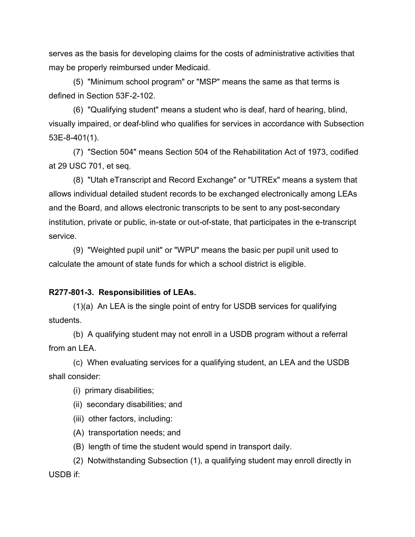serves as the basis for developing claims for the costs of administrative activities that may be properly reimbursed under Medicaid.

(5) "Minimum school program" or "MSP" means the same as that terms is defined in Section 53F-2-102.

(6) "Qualifying student" means a student who is deaf, hard of hearing, blind, visually impaired, or deaf-blind who qualifies for services in accordance with Subsection 53E-8-401(1).

(7) "Section 504" means Section 504 of the Rehabilitation Act of 1973, codified at 29 USC 701, et seq.

(8) "Utah eTranscript and Record Exchange" or "UTREx" means a system that allows individual detailed student records to be exchanged electronically among LEAs and the Board, and allows electronic transcripts to be sent to any post-secondary institution, private or public, in-state or out-of-state, that participates in the e-transcript service.

(9) "Weighted pupil unit" or "WPU" means the basic per pupil unit used to calculate the amount of state funds for which a school district is eligible.

## **R277-801-3. Responsibilities of LEAs.**

(1)(a) An LEA is the single point of entry for USDB services for qualifying students.

(b) A qualifying student may not enroll in a USDB program without a referral from an LEA.

(c) When evaluating services for a qualifying student, an LEA and the USDB shall consider:

(i) primary disabilities;

(ii) secondary disabilities; and

(iii) other factors, including:

(A) transportation needs; and

(B) length of time the student would spend in transport daily.

(2) Notwithstanding Subsection (1), a qualifying student may enroll directly in USDB if: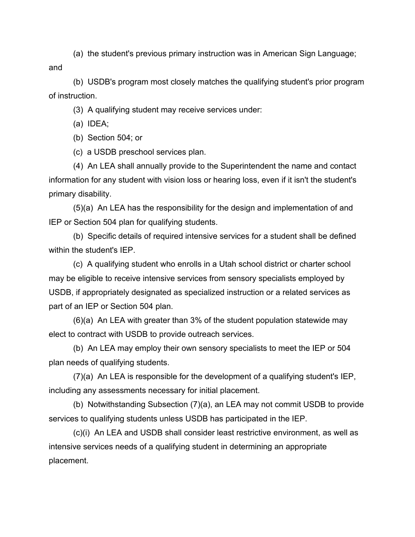(a) the student's previous primary instruction was in American Sign Language;

and

(b) USDB's program most closely matches the qualifying student's prior program of instruction.

(3) A qualifying student may receive services under:

(a) IDEA;

(b) Section 504; or

(c) a USDB preschool services plan.

(4) An LEA shall annually provide to the Superintendent the name and contact information for any student with vision loss or hearing loss, even if it isn't the student's primary disability.

(5)(a) An LEA has the responsibility for the design and implementation of and IEP or Section 504 plan for qualifying students.

(b) Specific details of required intensive services for a student shall be defined within the student's IEP.

(c) A qualifying student who enrolls in a Utah school district or charter school may be eligible to receive intensive services from sensory specialists employed by USDB, if appropriately designated as specialized instruction or a related services as part of an IEP or Section 504 plan.

(6)(a) An LEA with greater than 3% of the student population statewide may elect to contract with USDB to provide outreach services.

(b) An LEA may employ their own sensory specialists to meet the IEP or 504 plan needs of qualifying students.

(7)(a) An LEA is responsible for the development of a qualifying student's IEP, including any assessments necessary for initial placement.

(b) Notwithstanding Subsection (7)(a), an LEA may not commit USDB to provide services to qualifying students unless USDB has participated in the IEP.

(c)(i) An LEA and USDB shall consider least restrictive environment, as well as intensive services needs of a qualifying student in determining an appropriate placement.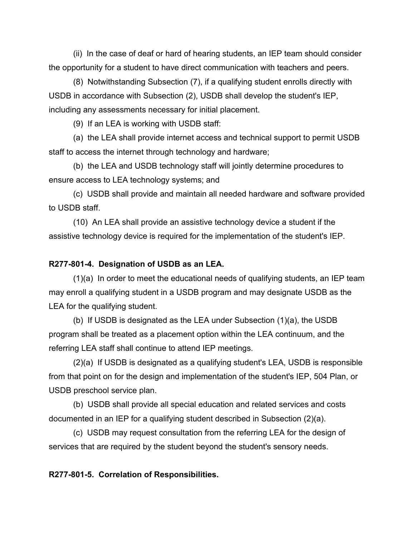(ii) In the case of deaf or hard of hearing students, an IEP team should consider the opportunity for a student to have direct communication with teachers and peers.

(8) Notwithstanding Subsection (7), if a qualifying student enrolls directly with USDB in accordance with Subsection (2), USDB shall develop the student's IEP, including any assessments necessary for initial placement.

(9) If an LEA is working with USDB staff:

(a) the LEA shall provide internet access and technical support to permit USDB staff to access the internet through technology and hardware;

(b) the LEA and USDB technology staff will jointly determine procedures to ensure access to LEA technology systems; and

(c) USDB shall provide and maintain all needed hardware and software provided to USDB staff.

(10) An LEA shall provide an assistive technology device a student if the assistive technology device is required for the implementation of the student's IEP.

## **R277-801-4. Designation of USDB as an LEA.**

(1)(a) In order to meet the educational needs of qualifying students, an IEP team may enroll a qualifying student in a USDB program and may designate USDB as the LEA for the qualifying student.

(b) If USDB is designated as the LEA under Subsection (1)(a), the USDB program shall be treated as a placement option within the LEA continuum, and the referring LEA staff shall continue to attend IEP meetings.

(2)(a) If USDB is designated as a qualifying student's LEA, USDB is responsible from that point on for the design and implementation of the student's IEP, 504 Plan, or USDB preschool service plan.

(b) USDB shall provide all special education and related services and costs documented in an IEP for a qualifying student described in Subsection (2)(a).

(c) USDB may request consultation from the referring LEA for the design of services that are required by the student beyond the student's sensory needs.

**R277-801-5. Correlation of Responsibilities.**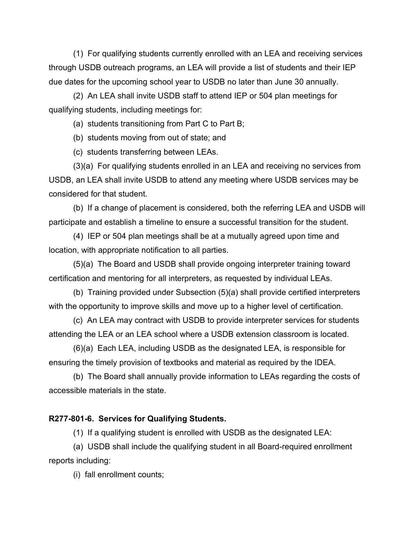(1) For qualifying students currently enrolled with an LEA and receiving services through USDB outreach programs, an LEA will provide a list of students and their IEP due dates for the upcoming school year to USDB no later than June 30 annually.

(2) An LEA shall invite USDB staff to attend IEP or 504 plan meetings for qualifying students, including meetings for:

(a) students transitioning from Part C to Part B;

(b) students moving from out of state; and

(c) students transferring between LEAs.

(3)(a) For qualifying students enrolled in an LEA and receiving no services from USDB, an LEA shall invite USDB to attend any meeting where USDB services may be considered for that student.

(b) If a change of placement is considered, both the referring LEA and USDB will participate and establish a timeline to ensure a successful transition for the student.

(4) IEP or 504 plan meetings shall be at a mutually agreed upon time and location, with appropriate notification to all parties.

(5)(a) The Board and USDB shall provide ongoing interpreter training toward certification and mentoring for all interpreters, as requested by individual LEAs.

(b) Training provided under Subsection (5)(a) shall provide certified interpreters with the opportunity to improve skills and move up to a higher level of certification.

(c) An LEA may contract with USDB to provide interpreter services for students attending the LEA or an LEA school where a USDB extension classroom is located.

(6)(a) Each LEA, including USDB as the designated LEA, is responsible for ensuring the timely provision of textbooks and material as required by the IDEA.

(b) The Board shall annually provide information to LEAs regarding the costs of accessible materials in the state.

## **R277-801-6. Services for Qualifying Students.**

(1) If a qualifying student is enrolled with USDB as the designated LEA:

(a) USDB shall include the qualifying student in all Board-required enrollment reports including:

(i) fall enrollment counts;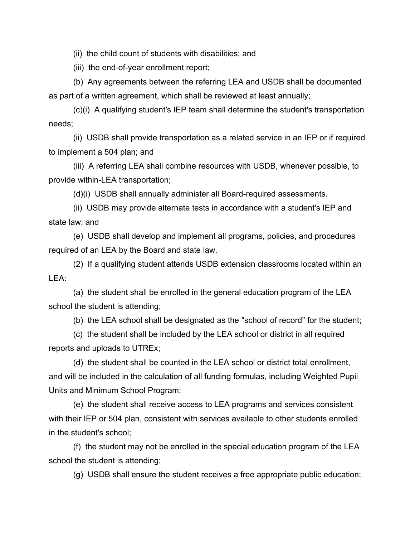(ii) the child count of students with disabilities; and

(iii) the end-of-year enrollment report;

(b) Any agreements between the referring LEA and USDB shall be documented as part of a written agreement, which shall be reviewed at least annually;

(c)(i) A qualifying student's IEP team shall determine the student's transportation needs;

(ii) USDB shall provide transportation as a related service in an IEP or if required to implement a 504 plan; and

(iii) A referring LEA shall combine resources with USDB, whenever possible, to provide within-LEA transportation;

(d)(i) USDB shall annually administer all Board-required assessments.

(ii) USDB may provide alternate tests in accordance with a student's IEP and state law; and

(e) USDB shall develop and implement all programs, policies, and procedures required of an LEA by the Board and state law.

(2) If a qualifying student attends USDB extension classrooms located within an LEA:

(a) the student shall be enrolled in the general education program of the LEA school the student is attending;

(b) the LEA school shall be designated as the "school of record" for the student;

(c) the student shall be included by the LEA school or district in all required reports and uploads to UTREx;

(d) the student shall be counted in the LEA school or district total enrollment, and will be included in the calculation of all funding formulas, including Weighted Pupil Units and Minimum School Program;

(e) the student shall receive access to LEA programs and services consistent with their IEP or 504 plan, consistent with services available to other students enrolled in the student's school;

(f) the student may not be enrolled in the special education program of the LEA school the student is attending;

(g) USDB shall ensure the student receives a free appropriate public education;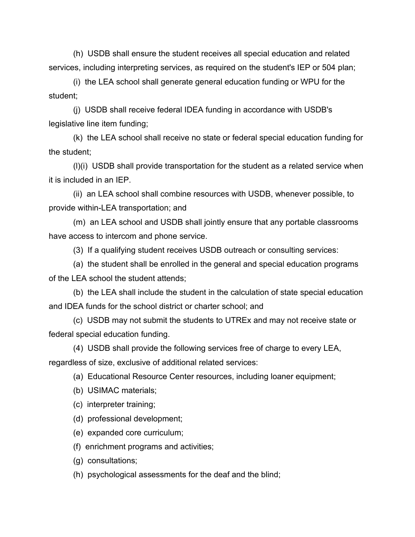(h) USDB shall ensure the student receives all special education and related services, including interpreting services, as required on the student's IEP or 504 plan;

(i) the LEA school shall generate general education funding or WPU for the student;

(j) USDB shall receive federal IDEA funding in accordance with USDB's legislative line item funding;

(k) the LEA school shall receive no state or federal special education funding for the student;

(l)(i) USDB shall provide transportation for the student as a related service when it is included in an IEP.

(ii) an LEA school shall combine resources with USDB, whenever possible, to provide within-LEA transportation; and

(m) an LEA school and USDB shall jointly ensure that any portable classrooms have access to intercom and phone service.

(3) If a qualifying student receives USDB outreach or consulting services:

(a) the student shall be enrolled in the general and special education programs of the LEA school the student attends;

(b) the LEA shall include the student in the calculation of state special education and IDEA funds for the school district or charter school; and

(c) USDB may not submit the students to UTREx and may not receive state or federal special education funding.

(4) USDB shall provide the following services free of charge to every LEA, regardless of size, exclusive of additional related services:

(a) Educational Resource Center resources, including loaner equipment;

(b) USIMAC materials;

(c) interpreter training;

(d) professional development;

(e) expanded core curriculum;

(f) enrichment programs and activities;

(g) consultations;

(h) psychological assessments for the deaf and the blind;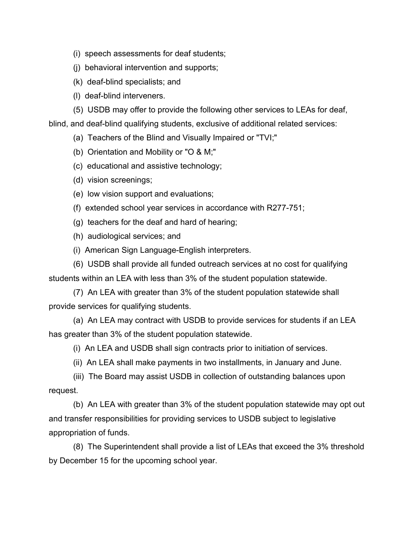- (i) speech assessments for deaf students;
- (j) behavioral intervention and supports;
- (k) deaf-blind specialists; and
- (l) deaf-blind interveners.
- (5) USDB may offer to provide the following other services to LEAs for deaf,

blind, and deaf-blind qualifying students, exclusive of additional related services:

- (a) Teachers of the Blind and Visually Impaired or "TVI;"
- (b) Orientation and Mobility or "O & M;"
- (c) educational and assistive technology;
- (d) vision screenings;
- (e) low vision support and evaluations;
- (f) extended school year services in accordance with R277-751;
- (g) teachers for the deaf and hard of hearing;
- (h) audiological services; and
- (i) American Sign Language-English interpreters.
- (6) USDB shall provide all funded outreach services at no cost for qualifying

students within an LEA with less than 3% of the student population statewide.

(7) An LEA with greater than 3% of the student population statewide shall provide services for qualifying students.

(a) An LEA may contract with USDB to provide services for students if an LEA has greater than 3% of the student population statewide.

(i) An LEA and USDB shall sign contracts prior to initiation of services.

(ii) An LEA shall make payments in two installments, in January and June.

(iii) The Board may assist USDB in collection of outstanding balances upon request.

(b) An LEA with greater than 3% of the student population statewide may opt out and transfer responsibilities for providing services to USDB subject to legislative appropriation of funds.

(8) The Superintendent shall provide a list of LEAs that exceed the 3% threshold by December 15 for the upcoming school year.